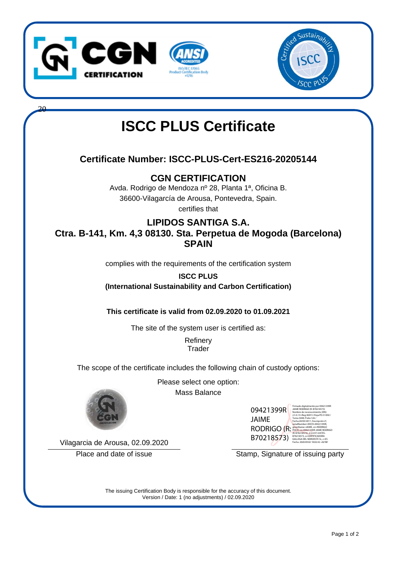

20



## **ISCC PLUS Certificate**

## **Certificate Number: ISCC-PLUS-Cert-ES216-20205144**

**CGN CERTIFICATION**

Avda. Rodrigo de Mendoza nº 28, Planta 1ª, Oficina B. 36600-Vilagarcía de Arousa, Pontevedra, Spain. certifies that

## **LIPIDOS SANTIGA S.A. Ctra. B-141, Km. 4,3 08130. Sta. Perpetua de Mogoda (Barcelona) SPAIN**

complies with the requirements of the certification system

**ISCC PLUS (International Sustainability and Carbon Certification)**

**This certificate is valid from 02.09.2020 to 01.09.2021**

The site of the system user is certified as:

**Refinery Trader** 

The scope of the certificate includes the following chain of custody options:

Please select one option: Mass Balance



09421399R JAIME RODRIGO (R: B70218573) Firmado digitalmente por 09421399R JAIME RODRIGO (R: B70218573) Nombre de reconocimiento (DN): 2.5.4.13=Reg:36015 /Hoja:PO-51050 / Tomo:3698 /Folio:126 / Fecha:28/03/2011 /Inscripción:2ª, serialNumber=IDCES-09421399R, givenName=JAIME, sn=RODRIGO POCH, cn=09421399R JAIME RODRIGO (R: B70218573), 2.5.4.97=VATES-B70218573, o=CERTIFICADORA GALLEGA DEL NOROESTE SL, c=ES

Vilagarcia de Arousa, 02.09.2020

Place and date of issue Stamp, Signature of issuing party

Fecha: 2020.09.02 10:02:42 +02'00'

The issuing Certification Body is responsible for the accuracy of this document. Version / Date: 1 (no adjustments) / 02.09.2020